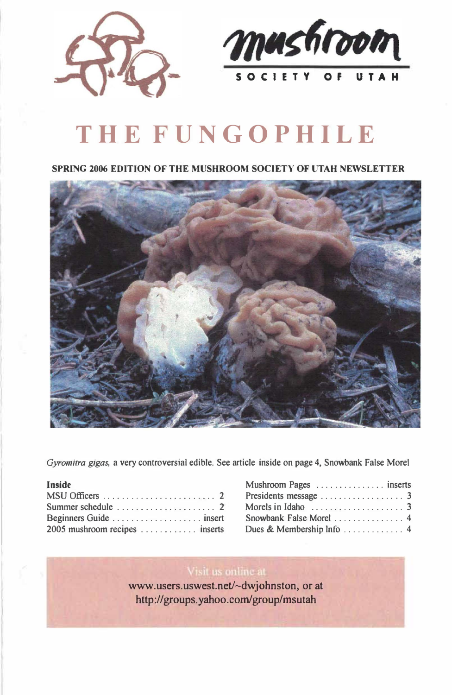



# **THE FUNGOPHILE**

#### **SPRING 2006 EDITlON OF THE MUSHROOM SOClETY OF UTAH NEWSLETTER**



*Gyromitra gigas,* **a very controversial edible. See article inside on page 4, Snowbank False Morel** 

| Inside                                                 |  |  |  |  |  |  |  |  |  |
|--------------------------------------------------------|--|--|--|--|--|--|--|--|--|
|                                                        |  |  |  |  |  |  |  |  |  |
| Summer schedule $\ldots \ldots \ldots \ldots \ldots$ 2 |  |  |  |  |  |  |  |  |  |
|                                                        |  |  |  |  |  |  |  |  |  |
| 2005 mushroom recipes  inserts                         |  |  |  |  |  |  |  |  |  |

| Mushroom Pages  inserts                                |  |
|--------------------------------------------------------|--|
|                                                        |  |
| Morels in Idaho $\ldots \ldots \ldots \ldots \ldots$ 3 |  |
| Snowbank False Morel  4                                |  |
|                                                        |  |

#### Visit us online at

www.users.uswest.net/~dwjohnston, or at http://groups.yahoo.com/group/msutah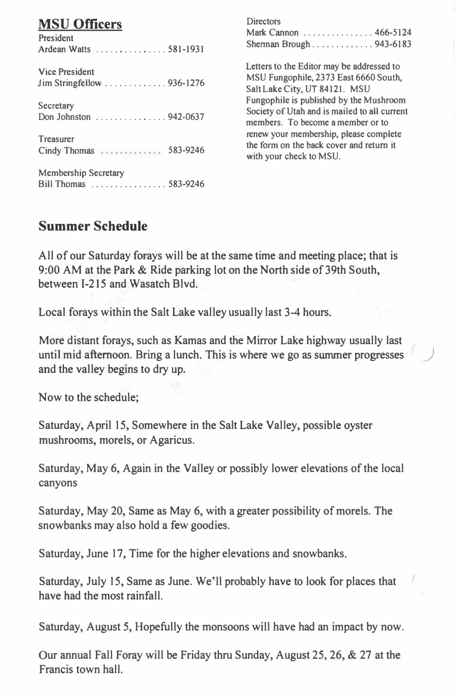## **MSU Officers**

| President<br>Ardean Watts 581-1931                   |
|------------------------------------------------------|
| <b>Vice President</b>                                |
| Secretary<br>Don Johnston 942-0637                   |
| Treasurer<br>Cindy Thomas  583-9246                  |
| <b>Membership Secretary</b><br>Bill Thomas  583-9246 |

**Directors** Mark Cannon ............... 466-5124 Shennan Brough ............. 943-6183 Letters to the Editor may be addressed to MSU Fungophile, 2373 East 6660 South,

Salt Lake City, UT 84121. MSU Fungophile is published by the Mushroom Society of Utah and is mailed to all current members. To become a member or to renew your membership, please complete the form on the back cover and return it with your check to MSU.

### **Summer Schedule**

All of our Saturday forays will be at the same time and meeting place; that is 9:00 AM at the Park & Ride parking lot on the North side of 39th South, between 1-215 and Wasatch Blvd.

Local forays within the Salt Lake valley usually last 3-4 hours.

More distant forays, such as Kamas and the Mirror Lake highway usually last until mid afternoon. Bring a lunch. This is where we go as summer progresses and the valley begins to dry up.

Now to the schedule;

Saturday, April 15, Somewhere in the Salt Lake Valley, possible oyster mushrooms, morels, or Agaricus.

Saturday, May 6, Again in the Valley or possibly lower elevations of the local canyons

Saturday, May 20, Same as May 6, with a greater possibility of morels. The snowbanks may also hold a few goodies.

Saturday, June 17, Time for the higher elevations and snowbanks.

Saturday, July 15, Same as June. We'll probably have to look for places that have had the most rainfall.

Saturday, August 5, Hopefully the monsoons will have had an impact by now.

Our annual Fall Foray will be Friday thru Sunday, August 25, 26, & 27 at the Francis town hall.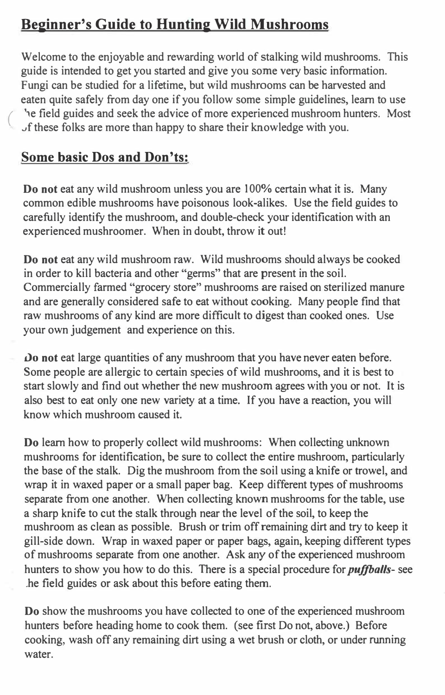## **Beginner's Guide to Hunting Wild Mushrooms**

Welcome to the enjoyable and rewarding world of stalking wild mushrooms. This guide is intended to get you started and give you some very basic information. Fungi can be studied for a lifetime, but wild mushrooms can be harvested and eaten quite safely from day one if you follow some simple guidelines, learn to use he field guides and seek the advice of more experienced mushroom hunters. Most Jf these folks are more than happy to share their knowledge with you.

## **Some basic Dos and Don'ts:**

**Do not** eat any wild mushroom unless you are 100% certain what it is. Many common edible mushrooms have poisonous look-alikes. Use the field guides to carefully identify the mushroom, and double-check your identification with an experienced mushroomer. When in doubt, throw it out!

**Do not** eat any wild mushroom raw. Wild mushrooms should always be cooked in order to kill bacteria and other "germs" that are present in the soil. Commercially farmed "grocery store" mushrooms are raised on sterilized manure and are generally considered safe to eat without cooking. Many people find that raw mushrooms of any kind are more difficult to digest than cooked ones. Use your own judgement and experience on this.

*Do not eat large quantities of any mushroom that you have never eaten before.* Some people are allergic to certain species of wild mushrooms, and it is best to start slowly and find out whether the new mushroom agrees with you or not. It is also best to eat only one new variety at a time. If you have a reaction, you will know which mushroom caused it.

**Do** learn how to properly collect wild mushrooms: When collecting unknown mushrooms for identification, be sure to collect the entire mushroom, particularly the base of the stalk. Dig the mushroom from the soil using a knife or trowel, and wrap it in waxed paper or a small paper bag. Keep different types of mushrooms separate from one another. When collecting known mushrooms for the table, use a sharp knife to cut the stalk through near the level of the soil, to keep the mushroom as clean as possible. Brush or trim off remaining dirt and try to keep it gill-side down. Wrap in waxed paper or paper bags, again, keeping different types of mushrooms separate from one another. Ask any of the experienced mushroom hunters to show you how to do this. There is a special procedure for *puffballs-* see .he field guides or ask about this before eating them.

**Do** show the mushrooms you have collected to one of the experienced mushroom hunters before heading home to cook them. (see first Do not, above.) Before cooking, wash off any remaining dirt using a wet brush or cloth, or under running water.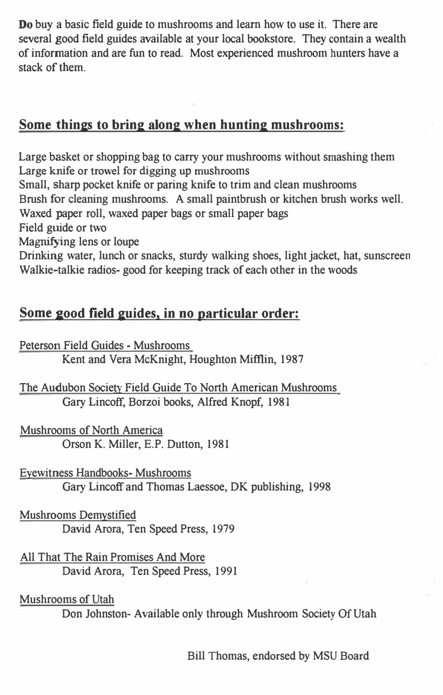Do buy a basic field guide to mushrooms and learn how to use it. There are several good field guides available at your local bookstore. They contain a wealth of information and are fun to read. Most experienced mushroom hunters have a stack of them.

### **Some thines to brine alone when huntine mushrooms:**

Large basket or shopping bag to carry your mushrooms without smashing them Large knife or trowel for digging up mushrooms Small, sharp pocket knife or paring knife to trim and clean mushrooms Brush for cleaning mushrooms. A small paintbrush or kitchen brush works well. Waxed paper roll, waxed paper bags or small paper bags Field guide or two Magnifying lens or loupe Drinking water, lunch or snacks, sturdy walking shoes, light jacket, hat, sunscreen Walkie-talkie radios-good for keeping track of each other in the woods

## Some good field guides, in no particular order:

Peterson Field Guides - Mushrooms

Kent and Vera McKnight, Houghton Mifflin, 1987

The Audubon Society Field Guide To North American Mushrooms Gary Lincoff, Borzoi books, Alfred Knopf, 1981

Mushrooms of North America Orson K. Miller, E.P. Dutton, 1981

Eyewitness Handbooks-Mushrooms Gary Lincoff and Thomas Laessoe, DK publishing, 1998

Mushrooms Demystified David Arora, Ten Speed Press, 1979

All That The Rain Promises And More David Arora, Ten Speed Press, 1991

Mushrooms of Utah

Don Johnston-Available only through Mushroom Society Of Utah

Bill Thomas, endorsed by MSU Board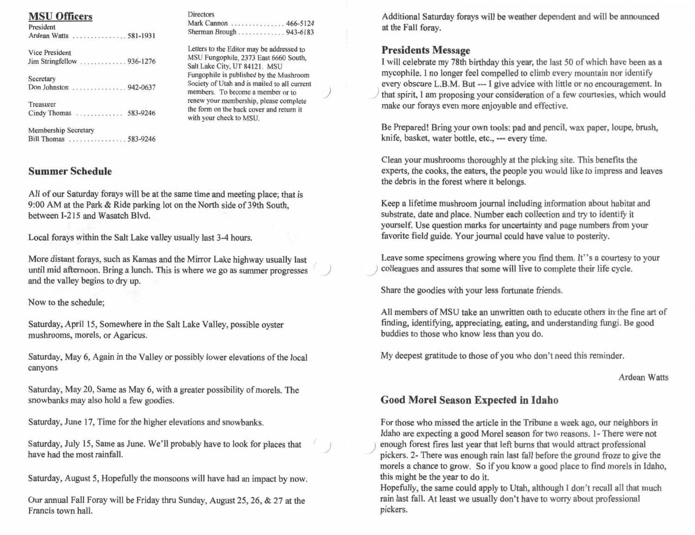Additional Saturday forays will be weather dependent and will be announced at the Fall forav.

#### **Presidents Message**

I will celebrate my 78th birthday this year, the last 50 of which have been as a mycophile. I no longer feel compelled to climb every mountain nor identify every obscure L.B.M. But --- I give advice with little or no encouragement. In that spirit, I am proposing your consideration of a few courtesies, which would make our forays even more enjoyable and effective.

Be Prepared! Bring your own tools: pad and pencil, wax paper, loupe, brush, knife, basket, water bottle, etc., --- every time.

Clean your mushrooms thoroughly at the picking site. This benefits the experts, the cooks, the eaters, the people you would like to impress and leaves the debris in the forest where it belongs.

Keep a lifetime mushroom journal including information about habitat and substrate, date and place. Number each collection and try to identify it yourself. Use question marks for uncertainty and page numbers from your favorite field guide. Your journal could have value to posterity.

Leave some specimens growing where you find them. It"s a courtesy to your colleagues and assures that some will live to complete their life cycle.

Share the goodies with your less fortunate friends.

All members of MSU take an unwritten oath to educate others in the fine art of finding, identifying, appreciating, eating, and understanding fungi. Be good buddies to those who know less than you do.

My deepest gratitude to those of you who don't need this reminder.

**Ardean Watts** 

#### **Good Morel Season Expected in Idaho**

For those who missed the article in the Tribune a week ago, our neighbors in Idaho are expecting a good Morel season for two reasons. 1- There were not enough forest fires last year that left burns that would attract professional pickers. 2- There was enough rain last fall before the ground froze to give the morels a chance to grow. So if you know a good place to find morels in Idaho, this might be the year to do it.

Hopefully, the same could apply to Utah, although I don't recall all that much rain last fall. At least we usually don't have to worry about professional pickers.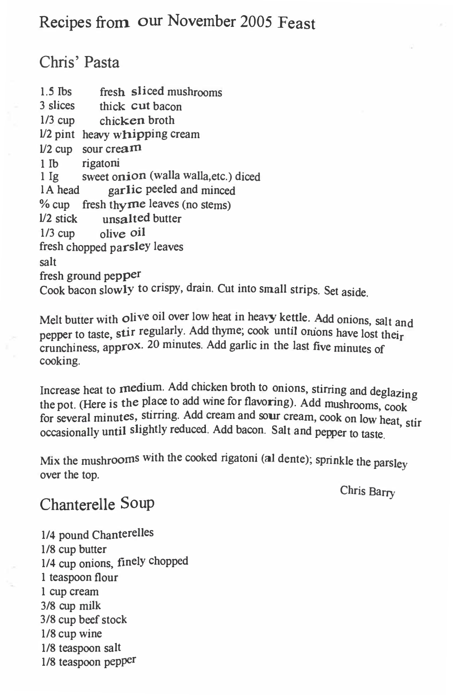## Recipes from our November 2005 Feast

## Chris' Pasta

1.5 lbs fresh sliced mushrooms 3 slices thick cut ba<sup>c</sup>on 1/3 cup chicken broth **1/2** pint heavy whipping <sup>c</sup>ream 1/2 cup sour cream 1 Ib rigatoni 1 lg sweet onion (walla walla,etc.) diced IA head garlic peeled and minced % cup fresh thy  $\text{me}$  leaves (no stems)  $1/2$  stick unsalted butter unsalted butter 1/3 cup olive oil fresh chopped parsley l<sup>e</sup>ave<sup>s</sup> salt fresh ground pepper Cook bacon slowly to crispy, drain. Cut into small strips. Set aside.

Melt butter with olive oil over low heat in heavy kettle. Add onions, salt and pepper to taste, stir regularly. Add thyme, cook until oruons have lost their <sup>c</sup>runchiness, approx. 20 minutes. Add garlic in the last five minutes of <sup>c</sup>ooking.

Increase heat to medium. Add chicken broth to onions, stirring and deglazing the pot. (Here is the place to add wine for flavoring). Add mushrooms, cook for several minutes, stirring. Add cream and sour cream, cook on low heat, stir occasionally until slightly reduced. Add bacon. Salt and p<sup>e</sup>pper to taste.

Mix the mushrooms with the cooked rigatoni (al dente); sprinkle the parsley over the top.

Chris Barry

## Chanterelle Soup

1/4 pound Chanterelle<sup>s</sup> 1/8 cup butter 1/4 <sup>c</sup>up onions, finely chopped 1 teaspoon flour 1 cup <sup>c</sup>ream 3/8 cup milk 3/8 cup beef stock 1/8 cup win<sup>e</sup> 1/8 teaspoon salt 1/8 teaspoon pepper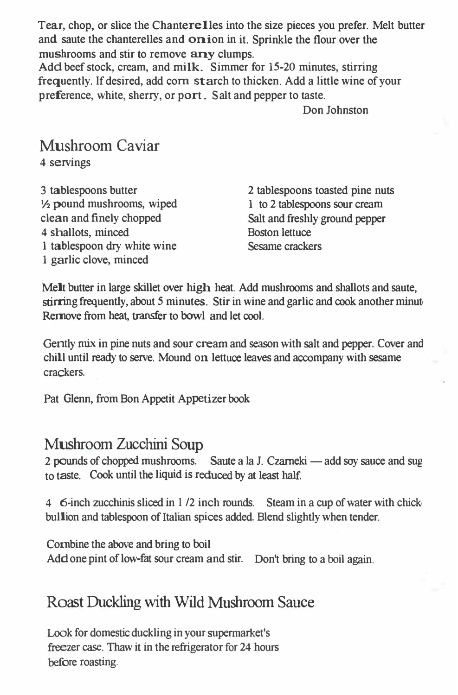Tear, chop, or slice the Chanterelles into the size pieces you prefer. Melt butter and saute the chanterelles and onion in it. Sprinkle the flour over the mushrooms and stir to remove any clumps.

Add beef stock, cream, and milk. Simmer for 15-20 minutes, stirring frequently. If desired, add com starch to thicken. Add a little wine of your preference, white, sherry, or port. Salt and pepper to taste.

Don Johnston

# Mushroom Caviar

4 servings

3 tablespoons butter ½ pound mushrooms, wiped clean and finely chopped 4 shallots, minced 1 tablespoon dry white wine 1 garlic clove, minced

2 tablespoons toasted pine nuts 1 to 2 tablespoons sour cream Salt and freshly ground pepper Boston lettuce Sesame crackers

Melt butter in large skillet over high heat. Add mushrooms and shallots and saute, stirring frequently, about 5 minutes. Stir in wine and garlic and cook another minute Remove from heat, transfer to bowl and let cool.

Gently mix in pine nuts and sour cream and season with salt and pepper. Cover and chill until ready to serve. Mound on lettuce leaves and accompany with sesame crackers.

Pat Glenn, from Bon Appetit Appetizer book

## Mushroom Zucchini Soup

2 pounds of chopped mushrooms. Saute a la J. Czarneki — add soy sauce and sug to taste. Cook until the liquid is reduced by at least half.

4 6-inch zucchinis sliced in 1 /2 inch rounds. Steam in a cup of water with chick, bullion and tablespoon of Italian spices added. Blend slightly when tender.

Combine the above and bring to boil Add one pint of low-fat sour cream and stir. Don't bring to a boil again.

# Roast Duckling with Wild Mushroom Sauce

Look for domestic duckling in your supermarket's freezer case. Thaw it in the refrigerator for 24 hours before roasting.